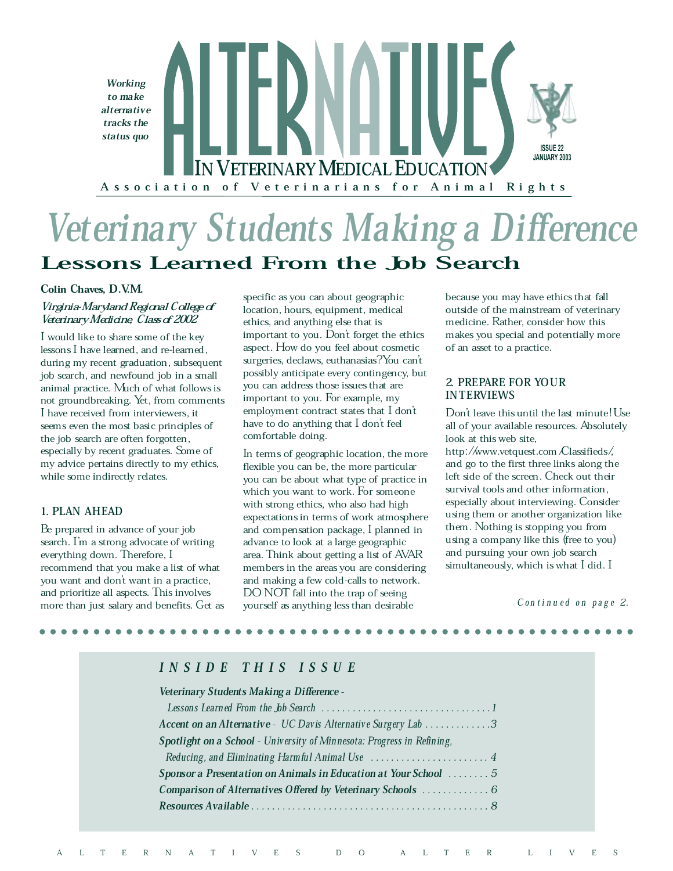

# Veterinary Students Making a Difference Lessons Learned From the Job Search

#### Colin Chaves, D.V.M.

## Virginia-Maryland Regional College of Veterinary Medicine, Class of 2002

I would like to share some of the key lessons I have learned, and re-learned, during my recent graduation, subsequent job search, and newfound job in a small animal practice. Much of what follows is not groundbreaking. Yet, from comments I have received from interviewers, it seems even the most basic principles of the job search are often forgotten, especially by recent graduates. Some of my advice pertains directly to my ethics, while some indirectly relates.

## 1. PLAN AHEAD

Be prepared in advance of your job search. I'm a strong advocate of writing everything down. Therefore, I recommend that you make a list of what you want and don't want in a practice, and prioritize all aspects. This involves more than just salary and benefits. Get as

specific as you can about geographic location, hours, equipment, medical ethics, and anything else that is important to you. Don't forget the ethics aspect. How do you feel about cosmetic surgeries, declaws, euthanasias? You can't possibly anticipate every contingency, but you can address those issues that are important to you. For example, my employment contract states that I don't have to do anything that I don't feel comfortable doing.

In terms of geographic location, the more flexible you can be, the more particular you can be about what type of practice in which you want to work. For someone with strong ethics, who also had high expectations in terms of work atmosphere and compensation package, I planned in advance to look at a large geographic area. Think about getting a list of AVAR members in the areas you are considering and making a few cold-calls to network. DO NOT fall into the trap of seeing yourself as anything less than desirable

because you may have ethics that fall outside of the mainstream of veterinary medicine. Rather, consider how this makes you special and potentially more of an asset to a practice.

## 2. PREPARE FOR YOUR INTERVIEWS

Don't leave this until the last minute! Use all of your available resources. Absolutely look at this web site,

http://www.vetquest.com/Classifieds/, and go to the first three links along the left side of the screen. Check out their survival tools and other information, especially about interviewing. Consider using them or another organization like them. Nothing is stopping you from using a company like this (free to you) and pursuing your own job search simultaneously, which is what I did. I

 $Continued$  on page 2.

# I N S I D E T H I S I S S U E

#### Veterinary Students Making a Difference -

| Accent on an Alternative - UC Davis Alternative Surgery Lab 3          |
|------------------------------------------------------------------------|
| Spotlight on a School - University of Minnesota: Progress in Refining, |
|                                                                        |
| Sponsor a Presentation on Animals in Education at Your School  5       |
| Comparison of Alternatives Offered by Veterinary Schools  6            |
|                                                                        |